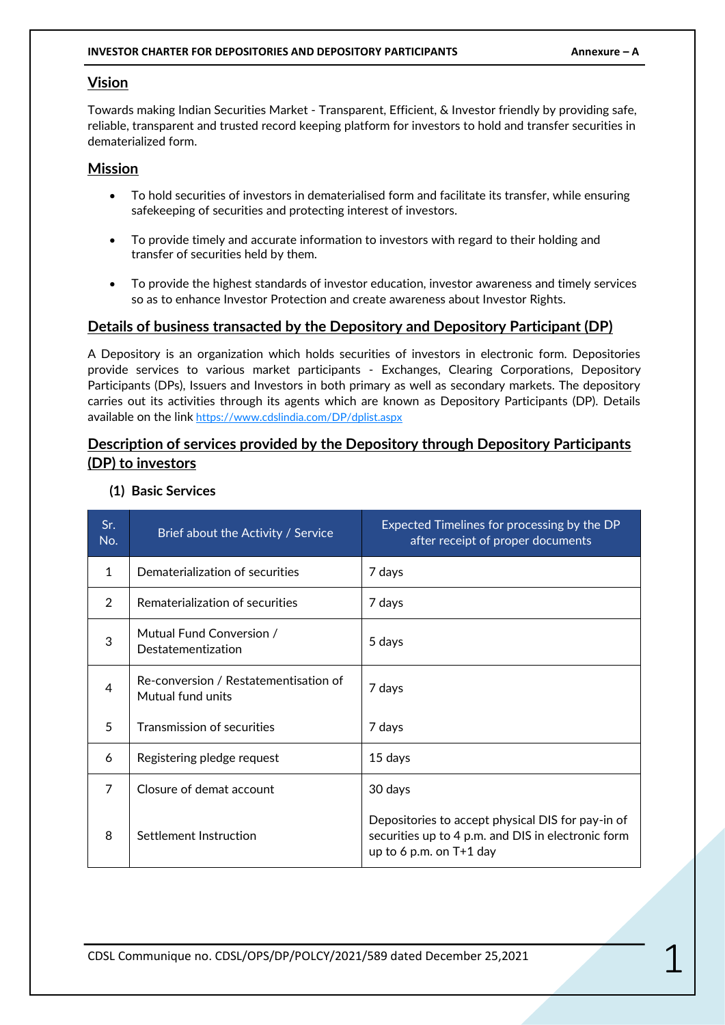#### **INVESTOR CHARTER FOR DEPOSITORIES AND DEPOSITORY PARTICIPANTS AND ANNEXURE - A**

#### **Vision**

Towards making Indian Securities Market - Transparent, Efficient, & Investor friendly by providing safe, reliable, transparent and trusted record keeping platform for investors to hold and transfer securities in dematerialized form.

#### **Mission**

- To hold securities of investors in dematerialised form and facilitate its transfer, while ensuring safekeeping of securities and protecting interest of investors.
- To provide timely and accurate information to investors with regard to their holding and transfer of securities held by them.
- To provide the highest standards of investor education, investor awareness and timely services so as to enhance Investor Protection and create awareness about Investor Rights.

#### **Details of business transacted by the Depository and Depository Participant (DP)**

A Depository is an organization which holds securities of investors in electronic form. Depositories provide services to various market participants - Exchanges, Clearing Corporations, Depository Participants (DPs), Issuers and Investors in both primary as well as secondary markets. The depository carries out its activities through its agents which are known as Depository Participants (DP). Details available on the link <https://www.cdslindia.com/DP/dplist.aspx>

### **Description of services provided by the Depository through Depository Participants (DP) to investors**

| Sr.<br>No.    | Brief about the Activity / Service                         | Expected Timelines for processing by the DP<br>after receipt of proper documents                                                     |
|---------------|------------------------------------------------------------|--------------------------------------------------------------------------------------------------------------------------------------|
| 1             | Dematerialization of securities                            | 7 days                                                                                                                               |
| $\mathcal{P}$ | Rematerialization of securities                            | 7 days                                                                                                                               |
| 3             | Mutual Fund Conversion /<br>Destatementization             | 5 days                                                                                                                               |
| 4             | Re-conversion / Restatementisation of<br>Mutual fund units | 7 days                                                                                                                               |
| 5             | <b>Transmission of securities</b>                          | 7 days                                                                                                                               |
| 6             | Registering pledge request                                 | 15 days                                                                                                                              |
| 7             | Closure of demat account                                   | 30 days                                                                                                                              |
| 8             | Settlement Instruction                                     | Depositories to accept physical DIS for pay-in of<br>securities up to 4 p.m. and DIS in electronic form<br>up to 6 p.m. on $T+1$ day |

**(1) Basic Services**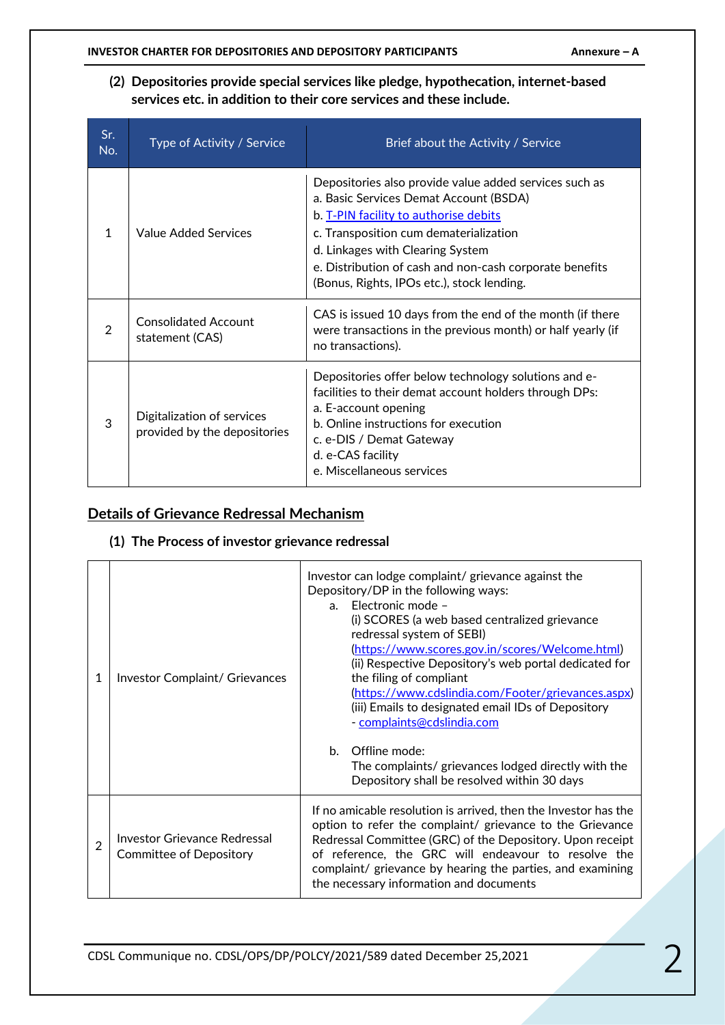#### **(2) Depositories provide special services like pledge, hypothecation, internet-based services etc. in addition to their core services and these include.**

| Sr.<br>No. | Type of Activity / Service                                 | Brief about the Activity / Service                                                                                                                                                                                                                                                                                               |
|------------|------------------------------------------------------------|----------------------------------------------------------------------------------------------------------------------------------------------------------------------------------------------------------------------------------------------------------------------------------------------------------------------------------|
| 1          | Value Added Services                                       | Depositories also provide value added services such as<br>a. Basic Services Demat Account (BSDA)<br>b. T-PIN facility to authorise debits<br>c. Transposition cum dematerialization<br>d. Linkages with Clearing System<br>e. Distribution of cash and non-cash corporate benefits<br>(Bonus, Rights, IPOs etc.), stock lending. |
| 2          | <b>Consolidated Account</b><br>statement (CAS)             | CAS is issued 10 days from the end of the month (if there<br>were transactions in the previous month) or half yearly (if<br>no transactions).                                                                                                                                                                                    |
| 3          | Digitalization of services<br>provided by the depositories | Depositories offer below technology solutions and e-<br>facilities to their demat account holders through DPs:<br>a. E-account opening<br>b. Online instructions for execution<br>c. e-DIS / Demat Gateway<br>d. e-CAS facility<br>e. Miscellaneous services                                                                     |

### **Details of Grievance Redressal Mechanism**

# **(1) The Process of investor grievance redressal**

| 1              | Investor Complaint/ Grievances                          | Investor can lodge complaint/ grievance against the<br>Depository/DP in the following ways:<br>Electronic mode -<br>a <sub>z</sub><br>(i) SCORES (a web based centralized grievance<br>redressal system of SEBI)<br>(https://www.scores.gov.in/scores/Welcome.html)<br>(ii) Respective Depository's web portal dedicated for<br>the filing of compliant<br>(https://www.cdslindia.com/Footer/grievances.aspx)<br>(iii) Emails to designated email IDs of Depository<br>- complaints@cdslindia.com<br>b. Offline mode:<br>The complaints/ grievances lodged directly with the<br>Depository shall be resolved within 30 days |  |
|----------------|---------------------------------------------------------|-----------------------------------------------------------------------------------------------------------------------------------------------------------------------------------------------------------------------------------------------------------------------------------------------------------------------------------------------------------------------------------------------------------------------------------------------------------------------------------------------------------------------------------------------------------------------------------------------------------------------------|--|
| $\overline{2}$ | Investor Grievance Redressal<br>Committee of Depository | If no amicable resolution is arrived, then the Investor has the<br>option to refer the complaint/ grievance to the Grievance<br>Redressal Committee (GRC) of the Depository. Upon receipt<br>of reference, the GRC will endeavour to resolve the<br>complaint/ grievance by hearing the parties, and examining<br>the necessary information and documents                                                                                                                                                                                                                                                                   |  |

CDSL Communique no. CDSL/OPS/DP/POLCY/2021/589 dated December 25,2021 2021